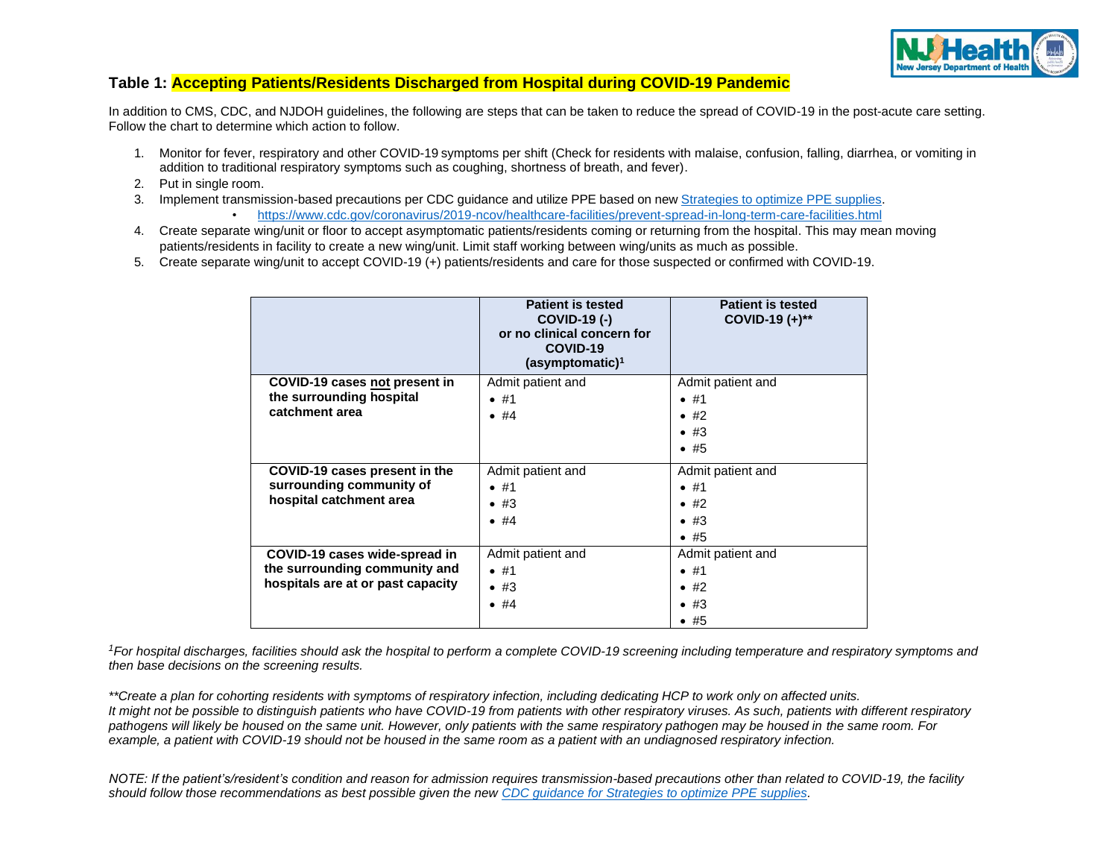

## **Table 1: Accepting Patients/Residents Discharged from Hospital during COVID-19 Pandemic**

In addition to CMS, CDC, and NJDOH guidelines, the following are steps that can be taken to reduce the spread of COVID-19 in the post-acute care setting. Follow the chart to determine which action to follow.

- 1. Monitor for fever, respiratory and other COVID-19 symptoms per shift (Check for residents with malaise, confusion, falling, diarrhea, or vomiting in addition to traditional respiratory symptoms such as coughing, shortness of breath, and fever).
- 2. Put in single room.
- 3. Implement transmission-based precautions per CDC guidance and utilize PPE based on new [Strategies](https://www.cdc.gov/coronavirus/2019-ncov/hcp/ppe-strategy/index.html) to optimize PPE supplies. • <https://www.cdc.gov/coronavirus/2019-ncov/healthcare-facilities/prevent-spread-in-long-term-care-facilities.html>
- 4. Create separate wing/unit or floor to accept asymptomatic patients/residents coming or returning from the hospital. This may mean moving patients/residents in facility to create a new wing/unit. Limit staff working between wing/units as much as possible.
- 5. Create separate wing/unit to accept COVID-19 (+) patients/residents and care for those suspected or confirmed with COVID-19.

|                                   | <b>Patient is tested</b><br><b>COVID-19 (-)</b><br>or no clinical concern for<br>COVID-19<br>(asymptomatic) <sup>1</sup> | <b>Patient is tested</b><br>COVID-19 $(+)^{**}$ |
|-----------------------------------|--------------------------------------------------------------------------------------------------------------------------|-------------------------------------------------|
| COVID-19 cases not present in     | Admit patient and                                                                                                        | Admit patient and                               |
| the surrounding hospital          | •  #1                                                                                                                    | •  #1                                           |
| catchment area                    | •  #4                                                                                                                    | $\bullet$ #2                                    |
|                                   |                                                                                                                          | $\bullet$ #3                                    |
|                                   |                                                                                                                          | $\bullet$ #5                                    |
| COVID-19 cases present in the     | Admit patient and                                                                                                        | Admit patient and                               |
| surrounding community of          | •  #1                                                                                                                    | •  #1                                           |
| hospital catchment area           | $\bullet$ #3                                                                                                             | $\bullet$ #2                                    |
|                                   | •  #4                                                                                                                    | $\bullet$ #3                                    |
|                                   |                                                                                                                          | $\bullet$ #5                                    |
| COVID-19 cases wide-spread in     | Admit patient and                                                                                                        | Admit patient and                               |
| the surrounding community and     | •  #1                                                                                                                    | •  #1                                           |
| hospitals are at or past capacity | $\bullet$ #3                                                                                                             | $\bullet$ #2                                    |
|                                   | •  #4                                                                                                                    | $\bullet$ #3                                    |
|                                   |                                                                                                                          | •  #5                                           |

*<sup>1</sup>For hospital discharges, facilities should ask the hospital to perform a complete COVID-19 screening including temperature and respiratory symptoms and then base decisions on the screening results.*

*\*\*Create a plan for cohorting residents with symptoms of respiratory infection, including dedicating HCP to work only on affected units. It might not be possible to distinguish patients who have COVID-19 from patients with other respiratory viruses. As such, patients with different respiratory pathogens will likely be housed on the same unit. However, only patients with the same respiratory pathogen may be housed in the same room. For example, a patient with COVID-19 should not be housed in the same room as a patient with an undiagnosed respiratory infection.*

*NOTE: If the patient's/resident's condition and reason for admission requires transmission-based precautions other than related to COVID-19, the facility should follow those recommendations as best possible given the new [CDC guidance for Strategies to optimize PPE supplies.](https://www.cdc.gov/coronavirus/2019-ncov/hcp/ppe-strategy/index.html)*